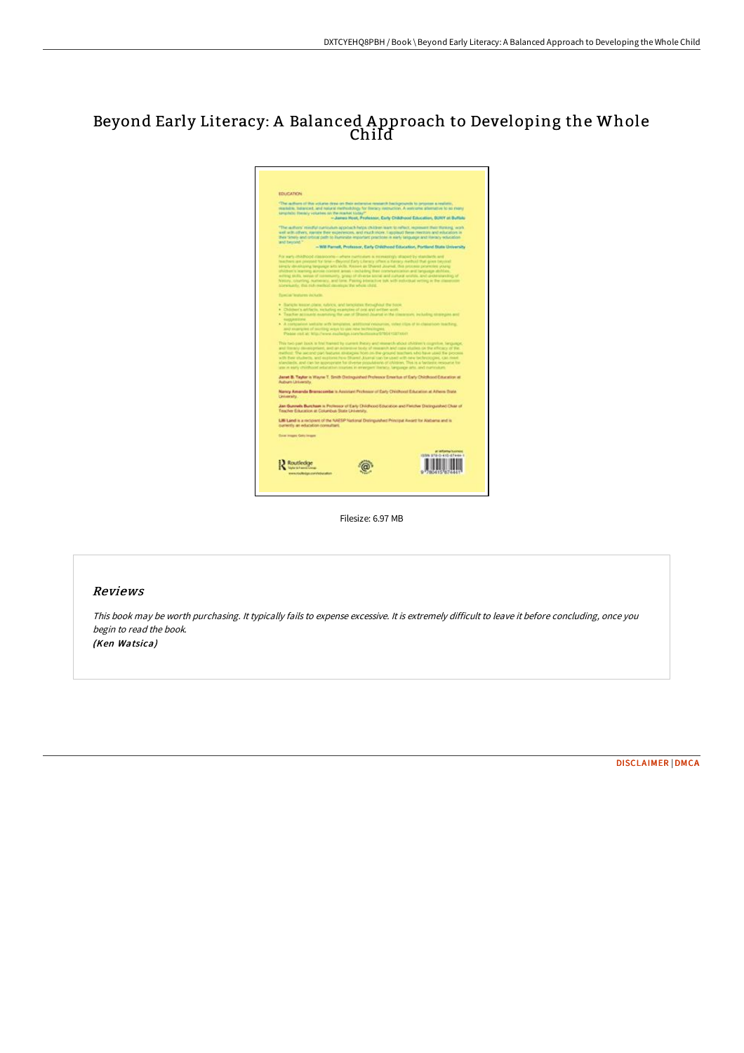## Beyond Early Literacy: A Balanced A pproach to Developing the Whole Child



Filesize: 6.97 MB

## Reviews

This book may be worth purchasing. It typically fails to expense excessive. It is extremely difficult to leave it before concluding, once you begin to read the book.

(Ken Watsica)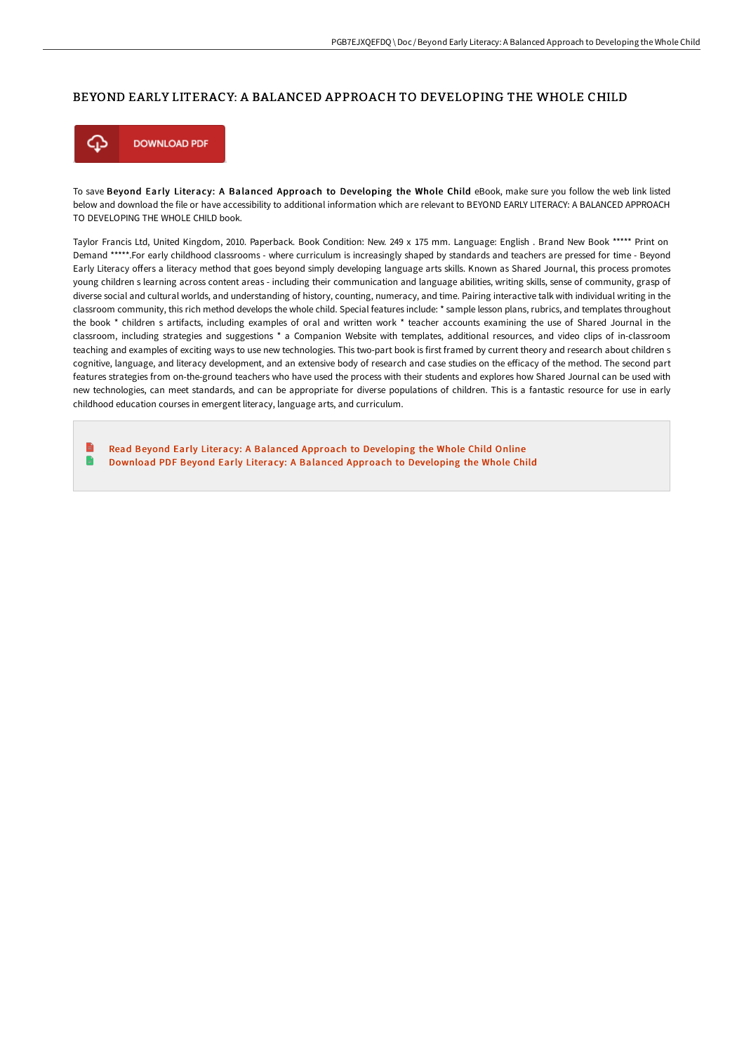## BEYOND EARLY LITERACY: A BALANCED APPROACH TO DEVELOPING THE WHOLE CHILD



To save Beyond Early Literacy: A Balanced Approach to Developing the Whole Child eBook, make sure you follow the web link listed below and download the file or have accessibility to additional information which are relevant to BEYOND EARLY LITERACY: A BALANCED APPROACH TO DEVELOPING THE WHOLE CHILD book.

Taylor Francis Ltd, United Kingdom, 2010. Paperback. Book Condition: New. 249 x 175 mm. Language: English . Brand New Book \*\*\*\*\* Print on Demand \*\*\*\*\*.For early childhood classrooms - where curriculum is increasingly shaped by standards and teachers are pressed for time - Beyond Early Literacy oFers a literacy method that goes beyond simply developing language arts skills. Known as Shared Journal, this process promotes young children s learning across content areas - including their communication and language abilities, writing skills, sense of community, grasp of diverse social and cultural worlds, and understanding of history, counting, numeracy, and time. Pairing interactive talk with individual writing in the classroom community, this rich method develops the whole child. Special features include: \* sample lesson plans, rubrics, and templates throughout the book \* children s artifacts, including examples of oral and written work \* teacher accounts examining the use of Shared Journal in the classroom, including strategies and suggestions \* a Companion Website with templates, additional resources, and video clips of in-classroom teaching and examples of exciting ways to use new technologies. This two-part book is first framed by current theory and research about children s cognitive, language, and literacy development, and an extensive body of research and case studies on the eFicacy of the method. The second part features strategies from on-the-ground teachers who have used the process with their students and explores how Shared Journal can be used with new technologies, can meet standards, and can be appropriate for diverse populations of children. This is a fantastic resource for use in early childhood education courses in emergent literacy, language arts, and curriculum.

B Read Beyond Early Literacy: A Balanced Approach to [Developing](http://bookera.tech/beyond-early-literacy-a-balanced-approach-to-dev.html) the Whole Child Online R Download PDF Beyond Early Literacy: A Balanced Approach to [Developing](http://bookera.tech/beyond-early-literacy-a-balanced-approach-to-dev.html) the Whole Child